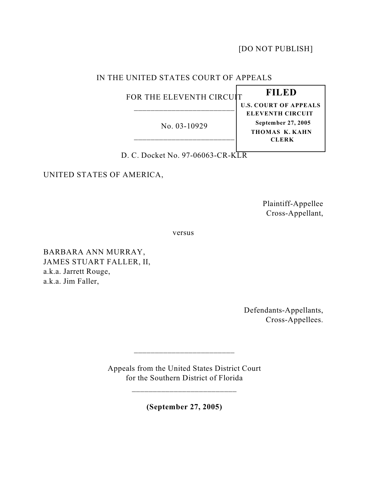[DO NOT PUBLISH]

# IN THE UNITED STATES COURT OF APPEALS

FOR THE ELEVENTH CIRCUIT \_\_\_\_\_\_\_\_\_\_\_\_\_\_\_\_\_\_\_\_\_\_\_\_

No. 03-10929 \_\_\_\_\_\_\_\_\_\_\_\_\_\_\_\_\_\_\_\_\_\_\_\_

 **FILED U.S. COURT OF APPEALS ELEVENTH CIRCUIT September 27, 2005 THOMAS K. KAHN CLERK**

D. C. Docket No. 97-06063-CR-KLR

UNITED STATES OF AMERICA,

Plaintiff-Appellee Cross-Appellant,

versus

BARBARA ANN MURRAY, JAMES STUART FALLER, II, a.k.a. Jarrett Rouge, a.k.a. Jim Faller,

> Defendants-Appellants, Cross-Appellees.

Appeals from the United States District Court for the Southern District of Florida

\_\_\_\_\_\_\_\_\_\_\_\_\_\_\_\_\_\_\_\_\_\_\_\_\_

\_\_\_\_\_\_\_\_\_\_\_\_\_\_\_\_\_\_\_\_\_\_\_\_

**(September 27, 2005)**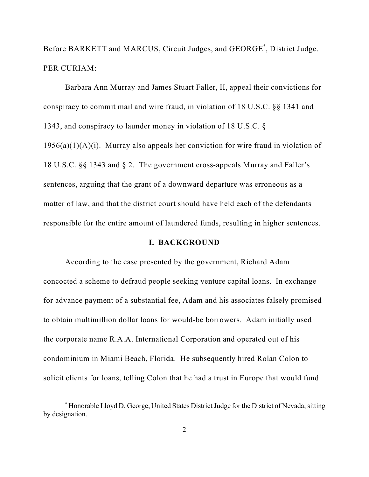Before BARKETT and MARCUS, Circuit Judges, and GEORGE<sup>\*</sup>, District Judge. PER CURIAM:

Barbara Ann Murray and James Stuart Faller, II, appeal their convictions for conspiracy to commit mail and wire fraud, in violation of 18 U.S.C. §§ 1341 and 1343, and conspiracy to launder money in violation of 18 U.S.C. §  $1956(a)(1)(A)(i)$ . Murray also appeals her conviction for wire fraud in violation of 18 U.S.C. §§ 1343 and § 2. The government cross-appeals Murray and Faller's sentences, arguing that the grant of a downward departure was erroneous as a matter of law, and that the district court should have held each of the defendants responsible for the entire amount of laundered funds, resulting in higher sentences.

# **I. BACKGROUND**

According to the case presented by the government, Richard Adam concocted a scheme to defraud people seeking venture capital loans. In exchange for advance payment of a substantial fee, Adam and his associates falsely promised to obtain multimillion dollar loans for would-be borrowers. Adam initially used the corporate name R.A.A. International Corporation and operated out of his condominium in Miami Beach, Florida. He subsequently hired Rolan Colon to solicit clients for loans, telling Colon that he had a trust in Europe that would fund

Honorable Lloyd D. George, United States District Judge for the District of Nevada, sitting \* by designation.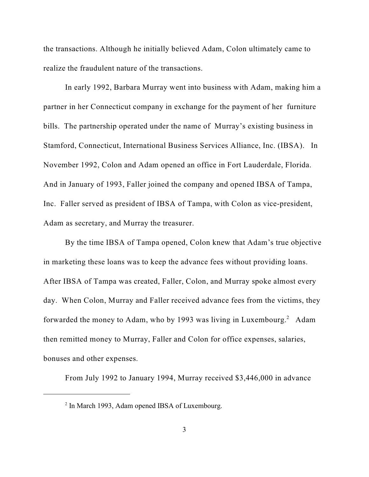the transactions. Although he initially believed Adam, Colon ultimately came to realize the fraudulent nature of the transactions.

In early 1992, Barbara Murray went into business with Adam, making him a partner in her Connecticut company in exchange for the payment of her furniture bills. The partnership operated under the name of Murray's existing business in Stamford, Connecticut, International Business Services Alliance, Inc. (IBSA). In November 1992, Colon and Adam opened an office in Fort Lauderdale, Florida. And in January of 1993, Faller joined the company and opened IBSA of Tampa, Inc. Faller served as president of IBSA of Tampa, with Colon as vice-president, Adam as secretary, and Murray the treasurer.

By the time IBSA of Tampa opened, Colon knew that Adam's true objective in marketing these loans was to keep the advance fees without providing loans. After IBSA of Tampa was created, Faller, Colon, and Murray spoke almost every day. When Colon, Murray and Faller received advance fees from the victims, they forwarded the money to Adam, who by 1993 was living in Luxembourg.<sup>2</sup> Adam then remitted money to Murray, Faller and Colon for office expenses, salaries, bonuses and other expenses.

From July 1992 to January 1994, Murray received \$3,446,000 in advance

 $2$  In March 1993, Adam opened IBSA of Luxembourg.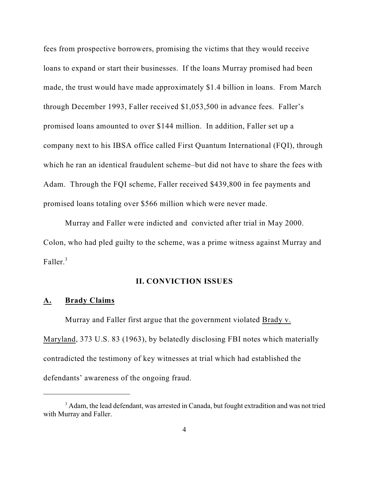fees from prospective borrowers, promising the victims that they would receive loans to expand or start their businesses. If the loans Murray promised had been made, the trust would have made approximately \$1.4 billion in loans. From March through December 1993, Faller received \$1,053,500 in advance fees. Faller's promised loans amounted to over \$144 million. In addition, Faller set up a company next to his IBSA office called First Quantum International (FQI), through which he ran an identical fraudulent scheme–but did not have to share the fees with Adam. Through the FQI scheme, Faller received \$439,800 in fee payments and promised loans totaling over \$566 million which were never made.

Murray and Faller were indicted and convicted after trial in May 2000. Colon, who had pled guilty to the scheme, was a prime witness against Murray and Faller.<sup>3</sup>

## **II. CONVICTION ISSUES**

#### **A. Brady Claims**

Murray and Faller first argue that the government violated Brady v. Maryland, 373 U.S. 83 (1963), by belatedly disclosing FBI notes which materially contradicted the testimony of key witnesses at trial which had established the defendants' awareness of the ongoing fraud.

<sup>&</sup>lt;sup>3</sup> Adam, the lead defendant, was arrested in Canada, but fought extradition and was not tried with Murray and Faller.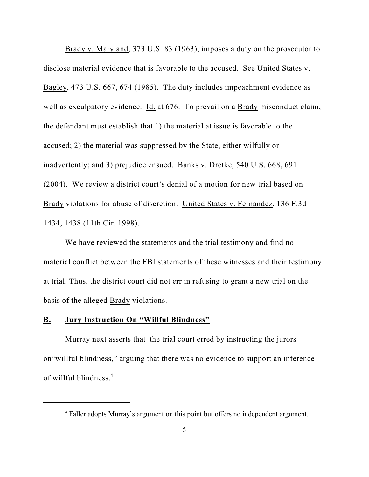Brady v. Maryland, 373 U.S. 83 (1963), imposes a duty on the prosecutor to disclose material evidence that is favorable to the accused. See United States v. Bagley, 473 U.S. 667, 674 (1985). The duty includes impeachment evidence as well as exculpatory evidence. Id. at 676. To prevail on a Brady misconduct claim, the defendant must establish that 1) the material at issue is favorable to the accused; 2) the material was suppressed by the State, either wilfully or inadvertently; and 3) prejudice ensued. Banks v. Dretke, 540 U.S. 668, 691 (2004). We review a district court's denial of a motion for new trial based on Brady violations for abuse of discretion. United States v. Fernandez, 136 F.3d 1434, 1438 (11th Cir. 1998).

We have reviewed the statements and the trial testimony and find no material conflict between the FBI statements of these witnesses and their testimony at trial. Thus, the district court did not err in refusing to grant a new trial on the basis of the alleged Brady violations.

#### **B. Jury Instruction On "Willful Blindness"**

Murray next asserts that the trial court erred by instructing the jurors on"willful blindness," arguing that there was no evidence to support an inference of willful blindness.<sup>4</sup>

<sup>&</sup>lt;sup>4</sup> Faller adopts Murray's argument on this point but offers no independent argument.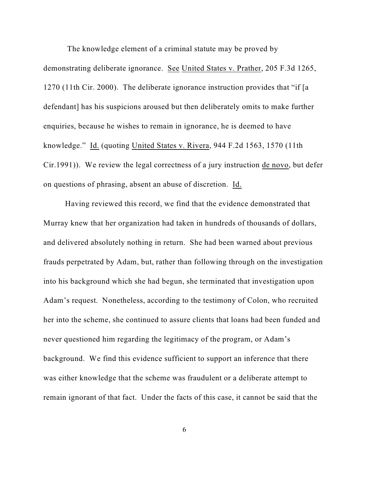The knowledge element of a criminal statute may be proved by demonstrating deliberate ignorance. See United States v. Prather, 205 F.3d 1265, 1270 (11th Cir. 2000). The deliberate ignorance instruction provides that "if [a defendant] has his suspicions aroused but then deliberately omits to make further enquiries, because he wishes to remain in ignorance, he is deemed to have knowledge." Id. (quoting United States v. Rivera, 944 F.2d 1563, 1570 (11th Cir.1991)). We review the legal correctness of a jury instruction de novo, but defer on questions of phrasing, absent an abuse of discretion. Id.

Having reviewed this record, we find that the evidence demonstrated that Murray knew that her organization had taken in hundreds of thousands of dollars, and delivered absolutely nothing in return. She had been warned about previous frauds perpetrated by Adam, but, rather than following through on the investigation into his background which she had begun, she terminated that investigation upon Adam's request. Nonetheless, according to the testimony of Colon, who recruited her into the scheme, she continued to assure clients that loans had been funded and never questioned him regarding the legitimacy of the program, or Adam's background. We find this evidence sufficient to support an inference that there was either knowledge that the scheme was fraudulent or a deliberate attempt to remain ignorant of that fact. Under the facts of this case, it cannot be said that the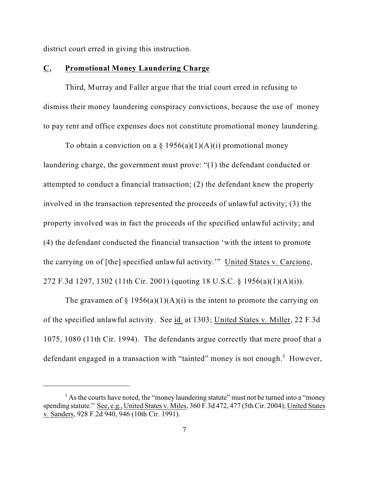district court erred in giving this instruction.

#### **C. Promotional Money Laundering Charge**

Third, Murray and Faller argue that the trial court erred in refusing to dismiss their money laundering conspiracy convictions, because the use of money to pay rent and office expenses does not constitute promotional money laundering.

To obtain a conviction on a  $\S 1956(a)(1)(A)(i)$  promotional money laundering charge, the government must prove: "(1) the defendant conducted or attempted to conduct a financial transaction; (2) the defendant knew the property involved in the transaction represented the proceeds of unlawful activity; (3) the property involved was in fact the proceeds of the specified unlawful activity; and (4) the defendant conducted the financial transaction 'with the intent to promote the carrying on of [the] specified unlawful activity.'" United States v. Carcione, 272 F.3d 1297, 1302 (11th Cir. 2001) (quoting 18 U.S.C. § 1956(a)(1)(A)(i)).

The gravamen of § 1956(a)(1)(A)(i) is the intent to promote the carrying on of the specified unlawful activity. See id. at 1303; United States v. Miller, 22 F.3d 1075, 1080 (11th Cir. 1994). The defendants argue correctly that mere proof that a defendant engaged in a transaction with "tainted" money is not enough.<sup>5</sup> However,

 $<sup>5</sup>$  As the courts have noted, the "money laundering statute" must not be turned into a "money"</sup> spending statute." See, e.g., United States v. Miles, 360 F.3d 472, 477 (5th Cir. 2004); United States v. Sanders, 928 F.2d 940, 946 (10th Cir. 1991).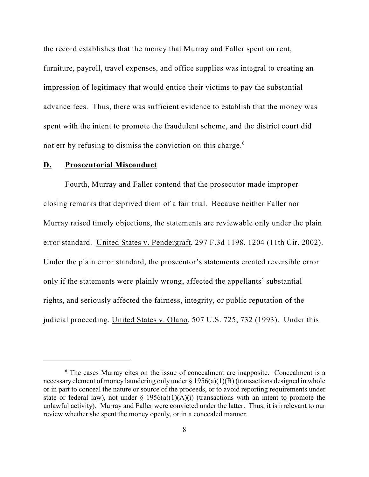the record establishes that the money that Murray and Faller spent on rent, furniture, payroll, travel expenses, and office supplies was integral to creating an impression of legitimacy that would entice their victims to pay the substantial advance fees. Thus, there was sufficient evidence to establish that the money was spent with the intent to promote the fraudulent scheme, and the district court did not err by refusing to dismiss the conviction on this charge.<sup>6</sup>

#### **D. Prosecutorial Misconduct**

Fourth, Murray and Faller contend that the prosecutor made improper closing remarks that deprived them of a fair trial. Because neither Faller nor Murray raised timely objections, the statements are reviewable only under the plain error standard. United States v. Pendergraft, 297 F.3d 1198, 1204 (11th Cir. 2002). Under the plain error standard, the prosecutor's statements created reversible error only if the statements were plainly wrong, affected the appellants' substantial rights, and seriously affected the fairness, integrity, or public reputation of the judicial proceeding. United States v. Olano, 507 U.S. 725, 732 (1993). Under this

 $6$  The cases Murray cites on the issue of concealment are inapposite. Concealment is a necessary element of money laundering only under § 1956(a)(1)(B) (transactions designed in whole or in part to conceal the nature or source of the proceeds, or to avoid reporting requirements under state or federal law), not under  $\S$  1956(a)(1)(A)(i) (transactions with an intent to promote the unlawful activity). Murray and Faller were convicted under the latter. Thus, it is irrelevant to our review whether she spent the money openly, or in a concealed manner.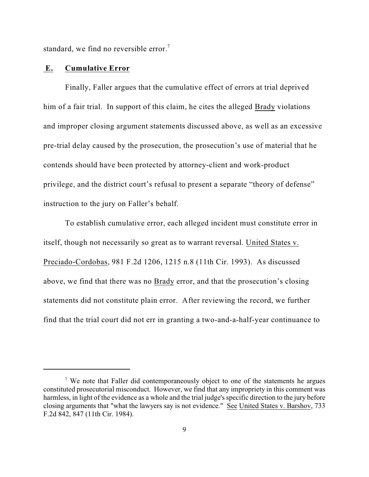standard, we find no reversible error.<sup>7</sup>

#### **E. Cumulative Error**

Finally, Faller argues that the cumulative effect of errors at trial deprived him of a fair trial. In support of this claim, he cites the alleged Brady violations and improper closing argument statements discussed above, as well as an excessive pre-trial delay caused by the prosecution, the prosecution's use of material that he contends should have been protected by attorney-client and work-product privilege, and the district court's refusal to present a separate "theory of defense" instruction to the jury on Faller's behalf.

To establish cumulative error, each alleged incident must constitute error in itself, though not necessarily so great as to warrant reversal. United States v. Preciado-Cordobas, 981 F.2d 1206, 1215 n.8 (11th Cir. 1993). As discussed above, we find that there was no Brady error, and that the prosecution's closing statements did not constitute plain error. After reviewing the record, we further find that the trial court did not err in granting a two-and-a-half-year continuance to

<sup>&</sup>lt;sup>7</sup> We note that Faller did contemporaneously object to one of the statements he argues constituted prosecutorial misconduct. However, we find that any impropriety in this comment was harmless, in light of the evidence as a whole and the trial judge's specific direction to the jury before closing arguments that "what the lawyers say is not evidence." See United States v. Barshov, 733 F.2d 842, 847 (11th Cir. 1984).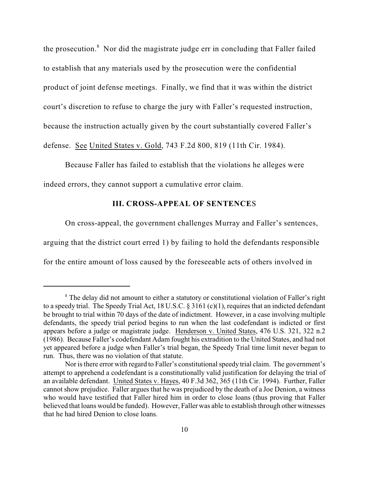the prosecution. $8$  Nor did the magistrate judge err in concluding that Faller failed to establish that any materials used by the prosecution were the confidential product of joint defense meetings. Finally, we find that it was within the district court's discretion to refuse to charge the jury with Faller's requested instruction, because the instruction actually given by the court substantially covered Faller's defense. See United States v. Gold, 743 F.2d 800, 819 (11th Cir. 1984).

Because Faller has failed to establish that the violations he alleges were indeed errors, they cannot support a cumulative error claim.

# **III. CROSS-APPEAL OF SENTENCE**S

On cross-appeal, the government challenges Murray and Faller's sentences, arguing that the district court erred 1) by failing to hold the defendants responsible

for the entire amount of loss caused by the foreseeable acts of others involved in

<sup>&</sup>lt;sup>8</sup> The delay did not amount to either a statutory or constitutional violation of Faller's right to a speedy trial. The Speedy Trial Act, 18 U.S.C. § 3161 (c)(1), requires that an indicted defendant be brought to trial within 70 days of the date of indictment. However, in a case involving multiple defendants, the speedy trial period begins to run when the last codefendant is indicted or first appears before a judge or magistrate judge. Henderson v. United States, 476 U.S. 321, 322 n.2 (1986). Because Faller's codefendant Adam fought his extradition to the United States, and had not yet appeared before a judge when Faller's trial began, the Speedy Trial time limit never began to run. Thus, there was no violation of that statute.

Nor is there error with regard to Faller's constitutional speedy trial claim. The government's attempt to apprehend a codefendant is a constitutionally valid justification for delaying the trial of an available defendant. United States v. Hayes, 40 F.3d 362, 365 (11th Cir. 1994). Further, Faller cannot show prejudice. Faller argues that he was prejudiced by the death of a Joe Denion, a witness who would have testified that Faller hired him in order to close loans (thus proving that Faller believed that loans would be funded). However, Faller was able to establish through other witnesses that he had hired Denion to close loans.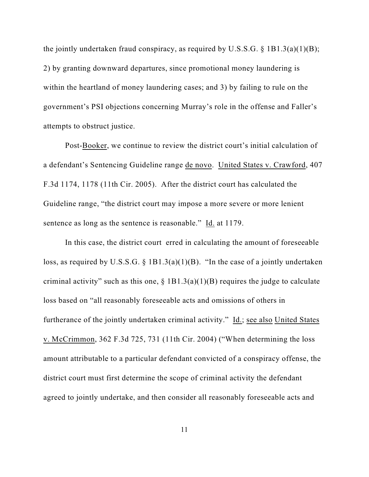the jointly undertaken fraud conspiracy, as required by U.S.S.G.  $\S$  1B1.3(a)(1)(B); 2) by granting downward departures, since promotional money laundering is within the heartland of money laundering cases; and 3) by failing to rule on the government's PSI objections concerning Murray's role in the offense and Faller's attempts to obstruct justice.

Post-Booker, we continue to review the district court's initial calculation of a defendant's Sentencing Guideline range de novo. United States v. Crawford, 407 F.3d 1174, 1178 (11th Cir. 2005). After the district court has calculated the Guideline range, "the district court may impose a more severe or more lenient sentence as long as the sentence is reasonable." Id. at 1179.

In this case, the district court erred in calculating the amount of foreseeable loss, as required by U.S.S.G.  $\S$  1B1.3(a)(1)(B). "In the case of a jointly undertaken criminal activity" such as this one,  $\S$  1B1.3(a)(1)(B) requires the judge to calculate loss based on "all reasonably foreseeable acts and omissions of others in furtherance of the jointly undertaken criminal activity." Id.; see also United States v. McCrimmon, 362 F.3d 725, 731 (11th Cir. 2004) ("When determining the loss amount attributable to a particular defendant convicted of a conspiracy offense, the district court must first determine the scope of criminal activity the defendant agreed to jointly undertake, and then consider all reasonably foreseeable acts and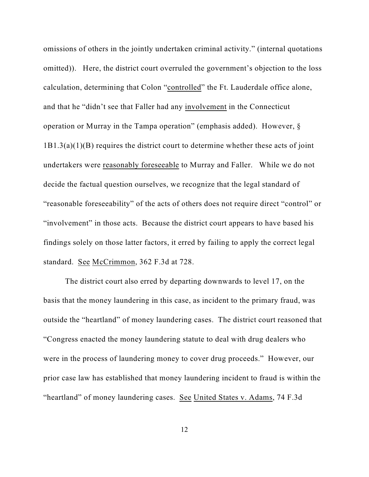omissions of others in the jointly undertaken criminal activity." (internal quotations omitted)). Here, the district court overruled the government's objection to the loss calculation, determining that Colon "controlled" the Ft. Lauderdale office alone, and that he "didn't see that Faller had any involvement in the Connecticut operation or Murray in the Tampa operation" (emphasis added). However, §  $1B1.3(a)(1)(B)$  requires the district court to determine whether these acts of joint undertakers were reasonably foreseeable to Murray and Faller. While we do not decide the factual question ourselves, we recognize that the legal standard of "reasonable foreseeability" of the acts of others does not require direct "control" or "involvement" in those acts. Because the district court appears to have based his findings solely on those latter factors, it erred by failing to apply the correct legal standard. See McCrimmon, 362 F.3d at 728.

The district court also erred by departing downwards to level 17, on the basis that the money laundering in this case, as incident to the primary fraud, was outside the "heartland" of money laundering cases. The district court reasoned that "Congress enacted the money laundering statute to deal with drug dealers who were in the process of laundering money to cover drug proceeds." However, our prior case law has established that money laundering incident to fraud is within the "heartland" of money laundering cases. See United States v. Adams, 74 F.3d